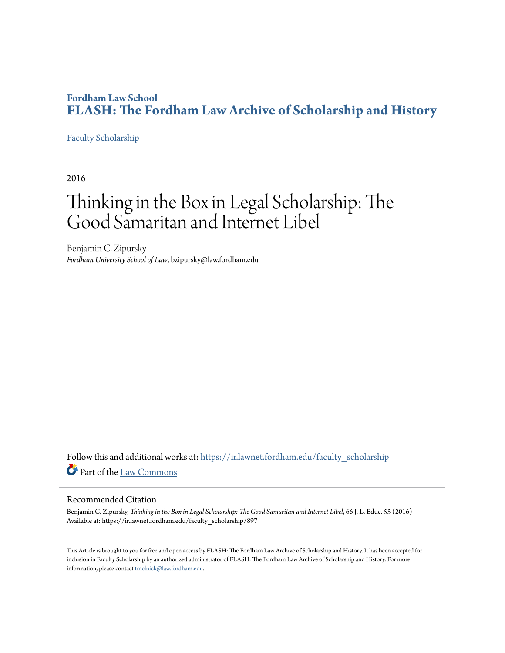### **Fordham Law School [FLASH: The Fordham Law Archive of Scholarship and History](https://ir.lawnet.fordham.edu?utm_source=ir.lawnet.fordham.edu%2Ffaculty_scholarship%2F897&utm_medium=PDF&utm_campaign=PDFCoverPages)**

#### [Faculty Scholarship](https://ir.lawnet.fordham.edu/faculty_scholarship?utm_source=ir.lawnet.fordham.edu%2Ffaculty_scholarship%2F897&utm_medium=PDF&utm_campaign=PDFCoverPages)

2016

# Thinking in the Box in Legal Scholarship: The Good Samaritan and Internet Libel

Benjamin C. Zipursky *Fordham University School of Law*, bzipursky@law.fordham.edu

Follow this and additional works at: [https://ir.lawnet.fordham.edu/faculty\\_scholarship](https://ir.lawnet.fordham.edu/faculty_scholarship?utm_source=ir.lawnet.fordham.edu%2Ffaculty_scholarship%2F897&utm_medium=PDF&utm_campaign=PDFCoverPages) Part of the [Law Commons](http://network.bepress.com/hgg/discipline/578?utm_source=ir.lawnet.fordham.edu%2Ffaculty_scholarship%2F897&utm_medium=PDF&utm_campaign=PDFCoverPages)

#### Recommended Citation

Benjamin C. Zipursky, *Thinking in the Box in Legal Scholarship: The Good Samaritan and Internet Libel*, 66 J. L. Educ. 55 (2016) Available at: https://ir.lawnet.fordham.edu/faculty\_scholarship/897

This Article is brought to you for free and open access by FLASH: The Fordham Law Archive of Scholarship and History. It has been accepted for inclusion in Faculty Scholarship by an authorized administrator of FLASH: The Fordham Law Archive of Scholarship and History. For more information, please contact [tmelnick@law.fordham.edu](mailto:tmelnick@law.fordham.edu).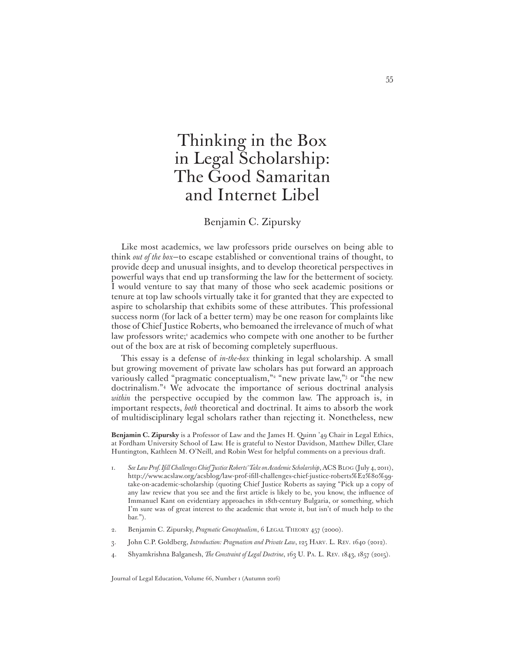## Thinking in the Box in Legal Scholarship: The Good Samaritan and Internet Libel

#### Benjamin C. Zipursky

Like most academics, we law professors pride ourselves on being able to think *out of the box*—to escape established or conventional trains of thought, to provide deep and unusual insights, and to develop theoretical perspectives in powerful ways that end up transforming the law for the betterment of society. I would venture to say that many of those who seek academic positions or tenure at top law schools virtually take it for granted that they are expected to aspire to scholarship that exhibits some of these attributes. This professional success norm (for lack of a better term) may be one reason for complaints like those of Chief Justice Roberts, who bemoaned the irrelevance of much of what law professors write;<sup>1</sup> academics who compete with one another to be further out of the box are at risk of becoming completely superfluous.

This essay is a defense of *in-the-box* thinking in legal scholarship. A small but growing movement of private law scholars has put forward an approach variously called "pragmatic conceptualism,"<sup>2</sup> "new private law,"<sup>3</sup> or "the new doctrinalism."4 We advocate the importance of serious doctrinal analysis *within* the perspective occupied by the common law. The approach is, in important respects, *both* theoretical and doctrinal. It aims to absorb the work of multidisciplinary legal scholars rather than rejecting it. Nonetheless, new

**Benjamin C. Zipursky** is a Professor of Law and the James H. Quinn '49 Chair in Legal Ethics, at Fordham University School of Law. He is grateful to Nestor Davidson, Matthew Diller, Clare Huntington, Kathleen M. O'Neill, and Robin West for helpful comments on a previous draft.

- 1. See Law Prof. Ifill Challenges Chief Justice Roberts' Take on Academic Scholarship, ACS BLOG (July 4, 2011), http://www.acslaw.org/acsblog/law-prof-ifill-challenges-chief-justice-roberts%E2%80%99take-on-academic-scholarship (quoting Chief Justice Roberts as saying "Pick up a copy of any law review that you see and the first article is likely to be, you know, the influence of Immanuel Kant on evidentiary approaches in 18th-century Bulgaria, or something, which I'm sure was of great interest to the academic that wrote it, but isn't of much help to the bar.").
- 2. Benjamin C. Zipursky, *Pragmatic Conceptualism*, 6 LEGAL THEORY 457 (2000).
- 3. John C.P. Goldberg, *Introduction: Pragmatism and Private Law*, 125 HARV. L. REV. 1640 (2012).
- 4. Shyamkrishna Balganesh, *The Constraint of Legal Doctrine*, 163 U. PA. L. REV. 1843, 1857 (2015).

Journal of Legal Education, Volume 66, Number 1 (Autumn 2016)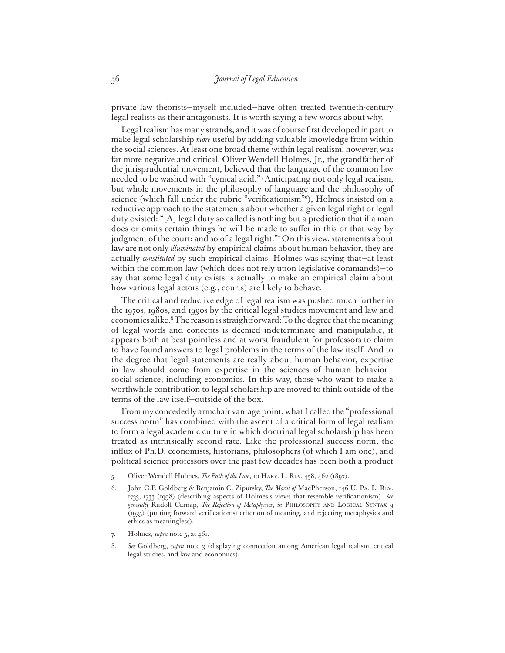private law theorists—myself included—have often treated twentieth-century legal realists as their antagonists. It is worth saying a few words about why.

Legal realism has many strands, and it was of course first developed in part to make legal scholarship *more* useful by adding valuable knowledge from within the social sciences. At least one broad theme within legal realism, however, was far more negative and critical. Oliver Wendell Holmes, Jr., the grandfather of the jurisprudential movement, believed that the language of the common law needed to be washed with "cynical acid."5 Anticipating not only legal realism, but whole movements in the philosophy of language and the philosophy of science (which fall under the rubric "verificationism"<sup>6</sup>), Holmes insisted on a reductive approach to the statements about whether a given legal right or legal duty existed: "[A] legal duty so called is nothing but a prediction that if a man does or omits certain things he will be made to suffer in this or that way by judgment of the court; and so of a legal right."7 On this view, statements about law are not only *illuminated* by empirical claims about human behavior, they are actually *constituted* by such empirical claims. Holmes was saying that—at least within the common law (which does not rely upon legislative commands)—to say that some legal duty exists is actually to make an empirical claim about how various legal actors (e.g., courts) are likely to behave.

The critical and reductive edge of legal realism was pushed much further in the 1970s, 1980s, and 1990s by the critical legal studies movement and law and economics alike.8 The reason is straightforward: To the degree that the meaning of legal words and concepts is deemed indeterminate and manipulable, it appears both at best pointless and at worst fraudulent for professors to claim to have found answers to legal problems in the terms of the law itself. And to the degree that legal statements are really about human behavior, expertise in law should come from expertise in the sciences of human behavior social science, including economics. In this way, those who want to make a worthwhile contribution to legal scholarship are moved to think outside of the terms of the law itself—outside of the box.

From my concededly armchair vantage point, what I called the "professional success norm" has combined with the ascent of a critical form of legal realism to form a legal academic culture in which doctrinal legal scholarship has been treated as intrinsically second rate. Like the professional success norm, the influx of Ph.D. economists, historians, philosophers (of which I am one), and political science professors over the past few decades has been both a product

- 5. Oliver Wendell Holmes, *The Path of the Law*, 10 HARV. L. REV. 458, 462 (1897).
- 6. John C.P. Goldberg & Benjamin C. Zipursky, *The Moral of* MacPherson, 146 U. PA. L. REV. 1733, 1733 (1998) (describing aspects of Holmes's views that resemble verificationism). See *generally* Rudolf Carnap, *The Rejection of Metaphysics*, *in* PHILOSOPHY AND LOGICAL SYNTAX 9 (1935) (putting forward verificationist criterion of meaning, and rejecting metaphysics and ethics as meaningless).
- 7. Holmes, *supra* note 5, at 461.
- 8. *See* Goldberg, *supra* note 3 (displaying connection among American legal realism, critical legal studies, and law and economics).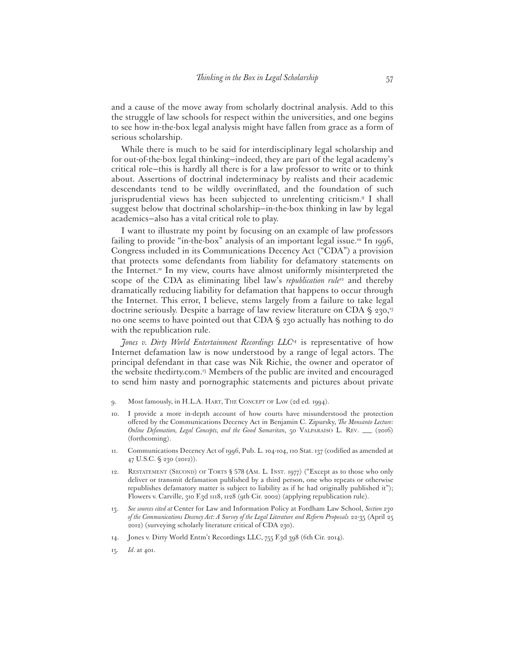and a cause of the move away from scholarly doctrinal analysis. Add to this the struggle of law schools for respect within the universities, and one begins to see how in-the-box legal analysis might have fallen from grace as a form of serious scholarship.

While there is much to be said for interdisciplinary legal scholarship and for out-of-the-box legal thinking—indeed, they are part of the legal academy's critical role—this is hardly all there is for a law professor to write or to think about. Assertions of doctrinal indeterminacy by realists and their academic descendants tend to be wildly overinflated, and the foundation of such jurisprudential views has been subjected to unrelenting criticism.9 I shall suggest below that doctrinal scholarship—in-the-box thinking in law by legal academics—also has a vital critical role to play.

I want to illustrate my point by focusing on an example of law professors failing to provide "in-the-box" analysis of an important legal issue.<sup>10</sup> In 1996, Congress included in its Communications Decency Act ("CDA") a provision that protects some defendants from liability for defamatory statements on the Internet.<sup>11</sup> In my view, courts have almost uniformly misinterpreted the scope of the CDA as eliminating libel law's *republication rule*<sup>12</sup> and thereby dramatically reducing liability for defamation that happens to occur through the Internet. This error, I believe, stems largely from a failure to take legal doctrine seriously. Despite a barrage of law review literature on CDA § 230,13 no one seems to have pointed out that CDA § 230 actually has nothing to do with the republication rule.

*Jones v. Dirty World Entertainment Recordings LLC*14 is representative of how Internet defamation law is now understood by a range of legal actors. The principal defendant in that case was Nik Richie, the owner and operator of the website thedirty.com.<sup>15</sup> Members of the public are invited and encouraged to send him nasty and pornographic statements and pictures about private

- 9. Most famously, in H.L.A. HART, THE CONCEPT OF LAW (2d ed. 1994).
- 10. I provide a more in-depth account of how courts have misunderstood the protection offered by the Communications Decency Act in Benjamin C. Zipursky, *The Monsanto Lecture*: *Online Defamation, Legal Concepts, and the Good Samaritan*, 50 VALPARAISO L. REV. \_\_ (2016) (forthcoming).
- 11. Communications Decency Act of 1996, Pub. L. 104-104, 110 Stat. 137 (codified as amended at 47 U.S.C. § 230 (2012)).
- 12. RESTATEMENT (SECOND) OF TORTS § 578 (AM. L. INST. 1977) ("Except as to those who only deliver or transmit defamation published by a third person, one who repeats or otherwise republishes defamatory matter is subject to liability as if he had originally published it"); Flowers v. Carville, 310 F.3d 1118, 1128 (9th Cir. 2002) (applying republication rule).
- 13. *See sources cited at* Center for Law and Information Policy at Fordham Law School, *Section 230 of the Communications Decency Act: A Survey of the Legal Literature and Reform Proposals* 22-35 (April 25 2012) (surveying scholarly literature critical of CDA 230).
- 14. Jones v. Dirty World Entm't Recordings LLC, 755 F.3d 398 (6th Cir. 2014).
- 15. *Id*. at 401.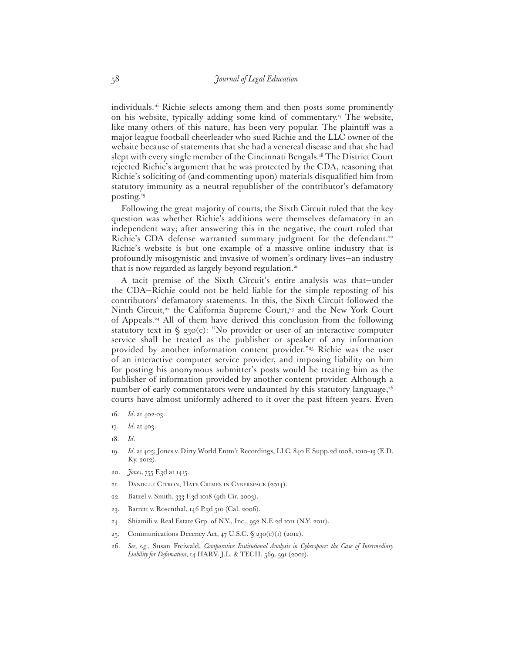individuals.16 Richie selects among them and then posts some prominently on his website, typically adding some kind of commentary.17 The website, like many others of this nature, has been very popular. The plaintiff was a major league football cheerleader who sued Richie and the LLC owner of the website because of statements that she had a venereal disease and that she had slept with every single member of the Cincinnati Bengals.<sup>18</sup> The District Court rejected Richie's argument that he was protected by the CDA, reasoning that Richie's soliciting of (and commenting upon) materials disqualified him from statutory immunity as a neutral republisher of the contributor's defamatory posting.19

Following the great majority of courts, the Sixth Circuit ruled that the key question was whether Richie's additions were themselves defamatory in an independent way; after answering this in the negative, the court ruled that Richie's CDA defense warranted summary judgment for the defendant.<sup>20</sup> Richie's website is but one example of a massive online industry that is profoundly misogynistic and invasive of women's ordinary lives—an industry that is now regarded as largely beyond regulation.21

A tacit premise of the Sixth Circuit's entire analysis was that—under the CDA—Richie could not be held liable for the simple reposting of his contributors' defamatory statements. In this, the Sixth Circuit followed the Ninth Circuit, $2^2$  the California Supreme Court, $2^3$  and the New York Court of Appeals.24 All of them have derived this conclusion from the following statutory text in § 230(c): "No provider or user of an interactive computer service shall be treated as the publisher or speaker of any information provided by another information content provider."25 Richie was the user of an interactive computer service provider, and imposing liability on him for posting his anonymous submitter's posts would be treating him as the publisher of information provided by another content provider. Although a number of early commentators were undaunted by this statutory language, $26$ courts have almost uniformly adhered to it over the past fifteen years. Even

- 16. *Id*. at 402-03.
- 17. *Id*. at 403.
- 18. *Id*.
- 19. *Id*. at 405; Jones v. Dirty World Entm't Recordings, LLC*,* 840 F. Supp.2d 1008, 1010–13 (E.D. Ky. 2012).
- 20. *Jones*, 755 F.3d at 1415.
- 21. DANIELLE CITRON, HATE CRIMES IN CYBERSPACE (2014).
- 22. Batzel v. Smith, 333 F.3d 1018 (9th Cir. 2003).
- 23. Barrett v. Rosenthal, 146 P.3d 510 (Cal. 2006).
- 24. Shiamili v. Real Estate Grp. of N.Y., Inc., 952 N.E.2d 1011 (N.Y. 2011).
- 25. Communications Decency Act, 47 U.S.C. § 230(c)(1) (2012).
- 26. *See, e.g*., Susan Freiwald, *Comparative Institutional Analysis in Cyberspace: the Case of Intermediary Liability for Defamation*, 14 HARV. J.L. & TECH. 569. 591 (2001).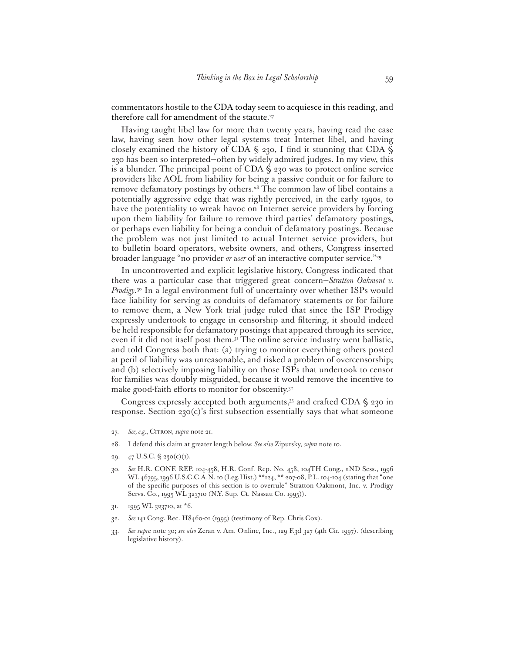commentators hostile to the CDA today seem to acquiesce in this reading, and therefore call for amendment of the statute.<sup>27</sup>

Having taught libel law for more than twenty years, having read the case law, having seen how other legal systems treat Internet libel, and having closely examined the history of CDA  $\S$  230, I find it stunning that CDA  $\S$ 230 has been so interpreted—often by widely admired judges. In my view, this is a blunder. The principal point of CDA § 230 was to protect online service providers like AOL from liability for being a passive conduit or for failure to remove defamatory postings by others.<sup>28</sup> The common law of libel contains a potentially aggressive edge that was rightly perceived, in the early 1990s, to have the potentiality to wreak havoc on Internet service providers by forcing upon them liability for failure to remove third parties' defamatory postings, or perhaps even liability for being a conduit of defamatory postings. Because the problem was not just limited to actual Internet service providers, but to bulletin board operators, website owners, and others, Congress inserted broader language "no provider *or user* of an interactive computer service."29

In uncontroverted and explicit legislative history, Congress indicated that there was a particular case that triggered great concern—*Stratton Oakmont v. Prodigy*. 30 In a legal environment full of uncertainty over whether ISPs would face liability for serving as conduits of defamatory statements or for failure to remove them, a New York trial judge ruled that since the ISP Prodigy expressly undertook to engage in censorship and filtering, it should indeed be held responsible for defamatory postings that appeared through its service, even if it did not itself post them.31 The online service industry went ballistic, and told Congress both that: (a) trying to monitor everything others posted at peril of liability was unreasonable, and risked a problem of overcensorship; and (b) selectively imposing liability on those ISPs that undertook to censor for families was doubly misguided, because it would remove the incentive to make good-faith efforts to monitor for obscenity.<sup>32</sup>

Congress expressly accepted both arguments,<sup>33</sup> and crafted CDA  $\S$  230 in response. Section  $230(c)$ 's first subsection essentially says that what someone

- 27. *See, e.g.*, CITRON, *supra* note 21.
- 28. I defend this claim at greater length below. *See also* Zipursky, *supra* note 10.
- 29. 47 U.S.C.  $\frac{6}{7}$  230(c)(1).
- 30. *See* H.R. CONF. REP. 104-458, H.R. Conf. Rep. No. 458, 104TH Cong., 2ND Sess., 1996 WL 46795, 1996 U.S.C.C.A.N. 10 (Leg.Hist.) \*\* 124, \*\* 207-08, P.L. 104-104 (stating that "one of the specific purposes of this section is to overrule" Stratton Oakmont, Inc. v. Prodigy Servs. Co., 1995 WL 323710 (N.Y. Sup. Ct. Nassau Co. 1995)).
- 31. 1995 WL 323710, at \*6.
- 32. *See* 141 Cong. Rec. H8460-01 (1995) (testimony of Rep. Chris Cox).
- 33. *See supra* note 30; *see also* Zeran v. Am. Online, Inc., 129 F.3d 327 (4th Cir. 1997). (describing legislative history).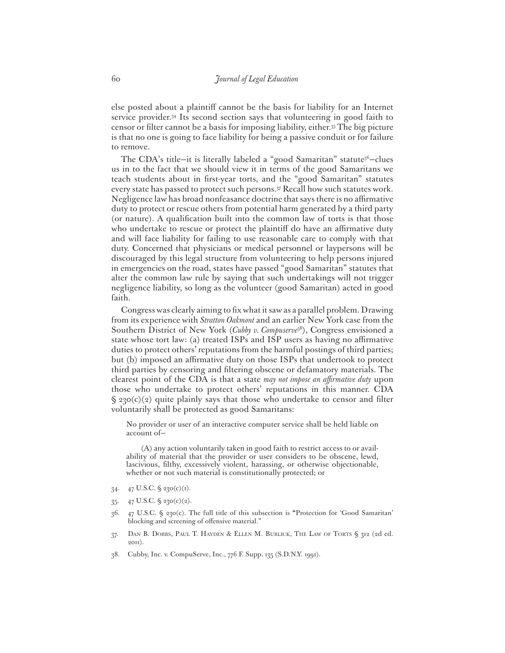else posted about a plaintiff cannot be the basis for liability for an Internet service provider.34 Its second section says that volunteering in good faith to censor or filter cannot be a basis for imposing liability, either.<sup>35</sup> The big picture is that no one is going to face liability for being a passive conduit or for failure to remove.

The CDA's title-it is literally labeled a "good Samaritan" statute $36$ -clues us in to the fact that we should view it in terms of the good Samaritans we teach students about in first-year torts, and the "good Samaritan" statutes every state has passed to protect such persons.37 Recall how such statutes work. Negligence law has broad nonfeasance doctrine that says there is no affirmative duty to protect or rescue others from potential harm generated by a third party (or nature). A qualification built into the common law of torts is that those who undertake to rescue or protect the plaintiff do have an affirmative duty and will face liability for failing to use reasonable care to comply with that duty. Concerned that physicians or medical personnel or laypersons will be discouraged by this legal structure from volunteering to help persons injured in emergencies on the road, states have passed "good Samaritan" statutes that alter the common law rule by saying that such undertakings will not trigger negligence liability, so long as the volunteer (good Samaritan) acted in good faith.

Congress was clearly aiming to fix what it saw as a parallel problem. Drawing from its experience with *Stratton Oakmont* and an earlier New York case from the Southern District of New York (*Cubby v. Compuserve*38), Congress envisioned a state whose tort law: (a) treated ISPs and ISP users as having no affirmative duties to protect others' reputations from the harmful postings of third parties; but (b) imposed an affirmative duty on those ISPs that undertook to protect third parties by censoring and filtering obscene or defamatory materials. The clearest point of the CDA is that a state *may not impose an affirmative duty* upon those who undertake to protect others' reputations in this manner. CDA  $\zeta$  230(c)(2) quite plainly says that those who undertake to censor and filter voluntarily shall be protected as good Samaritans:

No provider or user of an interactive computer service shall be held liable on account of—

(A) any action voluntarily taken in good faith to restrict access to or availability of material that the provider or user considers to be obscene, lewd, lascivious, filthy, excessively violent, harassing, or otherwise objectionable, whether or not such material is constitutionally protected; or

- 34. 47 U.S.C. § 230(c)(1).
- 35. 47 U.S.C.  $\frac{6}{9}$  230(c)(2).
- 36. 47 U.S.C. § 230(c). The full title of this subsection is **"**Protection for 'Good Samaritan' blocking and screening of offensive material."
- 37. DAN B. DOBBS, PAUL T. HAYDEN & ELLEN M. BUBLICK, THE LAW OF TORTS § 312 (2d ed. 2011).
- 38. Cubby, Inc. v. CompuServe, Inc., 776 F. Supp. 135 (S.D.N.Y. 1991).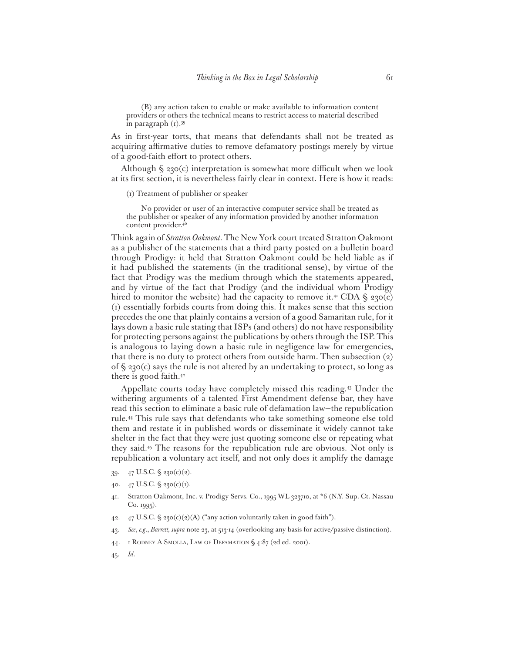(B) any action taken to enable or make available to information content providers or others the technical means to restrict access to material described in paragraph (1).39

As in first-year torts, that means that defendants shall not be treated as acquiring affirmative duties to remove defamatory postings merely by virtue of a good-faith effort to protect others.

Although  $\zeta$  230(c) interpretation is somewhat more difficult when we look at its first section, it is nevertheless fairly clear in context. Here is how it reads:

(1) Treatment of publisher or speaker

No provider or user of an interactive computer service shall be treated as the publisher or speaker of any information provided by another information content provider. 40

Think again of *Stratton Oakmont*. The New York court treated Stratton Oakmont as a publisher of the statements that a third party posted on a bulletin board through Prodigy: it held that Stratton Oakmont could be held liable as if it had published the statements (in the traditional sense), by virtue of the fact that Prodigy was the medium through which the statements appeared, and by virtue of the fact that Prodigy (and the individual whom Prodigy hired to monitor the website) had the capacity to remove it.<sup>41</sup> CDA  $\zeta$  230(c) (1) essentially forbids courts from doing this. It makes sense that this section precedes the one that plainly contains a version of a good Samaritan rule, for it lays down a basic rule stating that ISPs (and others) do not have responsibility for protecting persons against the publications by others through the ISP. This is analogous to laying down a basic rule in negligence law for emergencies, that there is no duty to protect others from outside harm. Then subsection (2) of § 230(c) says the rule is not altered by an undertaking to protect, so long as there is good faith.42

Appellate courts today have completely missed this reading.43 Under the withering arguments of a talented First Amendment defense bar, they have read this section to eliminate a basic rule of defamation law—the republication rule.44 This rule says that defendants who take something someone else told them and restate it in published words or disseminate it widely cannot take shelter in the fact that they were just quoting someone else or repeating what they said.45 The reasons for the republication rule are obvious. Not only is republication a voluntary act itself, and not only does it amplify the damage

- 39. 47 U.S.C. § 230(c)(2).
- 40. 47 U.S.C.  $\frac{6}{3}$  230(c)(1).
- 41. Stratton Oakmont, Inc. v. Prodigy Servs. Co., 1995 WL 323710, at \*6 (N.Y. Sup. Ct. Nassau Co. 1995).
- 42.  $47$  U.S.C. § 230(c)(2)(A) ("any action voluntarily taken in good faith").
- 43. *See*, *e.g*., *Barrett, supra* note 23, at 513-14 (overlooking any basis for active/passive distinction).
- 44. 1 RODNEY A SMOLLA, LAW OF DEFAMATION § 4:87 (2d ed. 2001).
- 45. *Id*.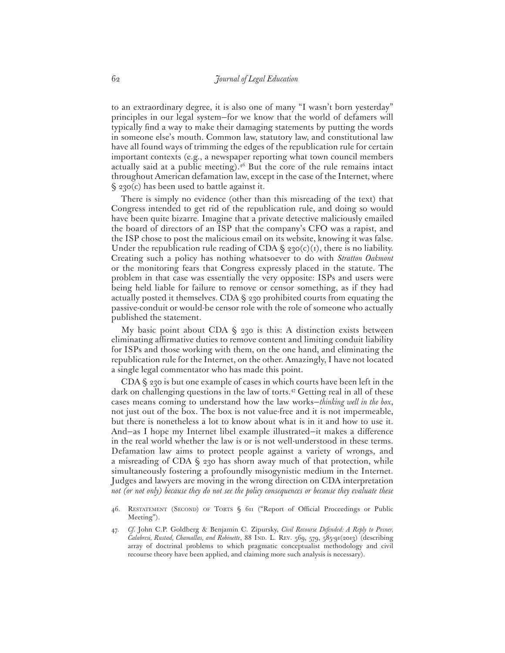to an extraordinary degree, it is also one of many "I wasn't born yesterday" principles in our legal system—for we know that the world of defamers will typically find a way to make their damaging statements by putting the words in someone else's mouth. Common law, statutory law, and constitutional law have all found ways of trimming the edges of the republication rule for certain important contexts (e.g., a newspaper reporting what town council members actually said at a public meeting). $4^6$  But the core of the rule remains intact throughout American defamation law, except in the case of the Internet, where  $\zeta$  230(c) has been used to battle against it.

There is simply no evidence (other than this misreading of the text) that Congress intended to get rid of the republication rule, and doing so would have been quite bizarre. Imagine that a private detective maliciously emailed the board of directors of an ISP that the company's CFO was a rapist, and the ISP chose to post the malicious email on its website, knowing it was false. Under the republication rule reading of CDA  $\S$  230(c)(1), there is no liability. Creating such a policy has nothing whatsoever to do with *Stratton Oakmont* or the monitoring fears that Congress expressly placed in the statute. The problem in that case was essentially the very opposite: ISPs and users were being held liable for failure to remove or censor something, as if they had actually posted it themselves. CDA § 230 prohibited courts from equating the passive-conduit or would-be censor role with the role of someone who actually published the statement.

My basic point about CDA  $\S$  230 is this: A distinction exists between eliminating affirmative duties to remove content and limiting conduit liability for ISPs and those working with them, on the one hand, and eliminating the republication rule for the Internet, on the other. Amazingly, I have not located a single legal commentator who has made this point.

CDA § 230 is but one example of cases in which courts have been left in the dark on challenging questions in the law of torts.<sup>47</sup> Getting real in all of these cases means coming to understand how the law works—*thinking well in the box*, not just out of the box. The box is not value-free and it is not impermeable, but there is nonetheless a lot to know about what is in it and how to use it. And—as I hope my Internet libel example illustrated—it makes a difference in the real world whether the law is or is not well-understood in these terms. Defamation law aims to protect people against a variety of wrongs, and a misreading of CDA § 230 has shorn away much of that protection, while simultaneously fostering a profoundly misogynistic medium in the Internet. Judges and lawyers are moving in the wrong direction on CDA interpretation *not (or not only) because they do not see the policy consequences or because they evaluate these* 

<sup>46.</sup> RESTATEMENT (SECOND) OF TORTS § 611 ("Report of Official Proceedings or Public Meeting").

<sup>47.</sup> *Cf*. John C.P. Goldberg & Benjamin C. Zipursky, *Civil Recourse Defended: A Reply to Posner, Calabresi, Rustad, Chamallas, and Robinette*, 88 IND. L. REV. 569, 579, 585-91(2013) (describing array of doctrinal problems to which pragmatic conceptualist methodology and civil recourse theory have been applied, and claiming more such analysis is necessary).